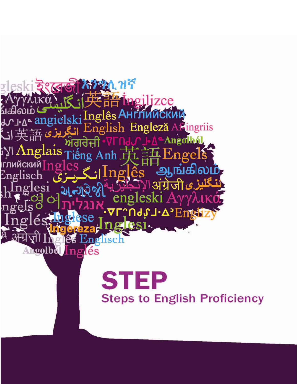

# **STEP Steps to English Proficiency**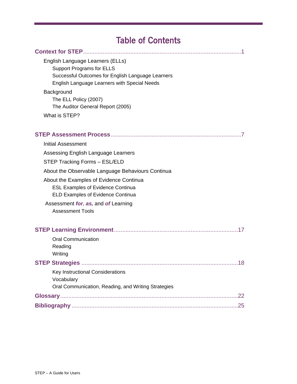# Table of Contents

| English Language Learners (ELLs)                           |
|------------------------------------------------------------|
| <b>Support Programs for ELLS</b>                           |
| Successful Outcomes for English Language Learners          |
| English Language Learners with Special Needs               |
| Background                                                 |
| The ELL Policy (2007)<br>The Auditor General Report (2005) |
| What is STEP?                                              |
|                                                            |
|                                                            |
| <b>Initial Assessment</b>                                  |
| Assessing English Language Learners                        |
| STEP Tracking Forms - ESL/ELD                              |
| About the Observable Language Behaviours Continua          |
| About the Examples of Evidence Continua                    |
| <b>ESL Examples of Evidence Continua</b>                   |
| ELD Examples of Evidence Continua                          |
| Assessment for, as, and of Learning                        |
| <b>Assessment Tools</b>                                    |
|                                                            |
| <b>Oral Communication</b>                                  |
| Reading                                                    |
| Writing                                                    |
|                                                            |
| Key Instructional Considerations                           |
| Vocabulary                                                 |
| Oral Communication, Reading, and Writing Strategies        |
| .22                                                        |
|                                                            |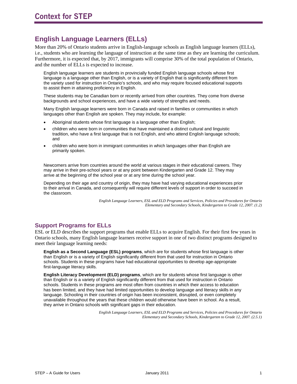# **English Language Learners (ELLs)**

More than 20% of Ontario students arrive in English-language schools as English language learners (ELLs), i.e., students who are learning the language of instruction at the same time as they are learning the curriculum. Furthermore, it is expected that, by 2017, immigrants will comprise 30% of the total population of Ontario, and the number of ELLs is expected to increase.

English language learners are students in provincially funded English language schools whose first language is a language other than English, or is a variety of English that is significantly different from the variety used for instruction in Ontario's schools, and who may require focused educational supports to assist them in attaining proficiency in English.

These students may be Canadian born or recently arrived from other countries. They come from diverse backgrounds and school experiences, and have a wide variety of strengths and needs.

Many English language learners were born in Canada and raised in families or communities in which languages other than English are spoken. They may include, for example:

- Aboriginal students whose first language is a language other than English;
- children who were born in communities that have maintained a distinct cultural and linguistic tradition, who have a first language that is not English, and who attend English language schools; and
- children who were born in immigrant communities in which languages other than English are primarily spoken.

Newcomers arrive from countries around the world at various stages in their educational careers. They may arrive in their pre-school years or at any point between Kindergarten and Grade 12. They may arrive at the beginning of the school year or at any time during the school year.

Depending on their age and country of origin, they may have had varying educational experiences prior to their arrival in Canada, and consequently will require different levels of support in order to succeed in the classroom.

> *English Language Learners, ESL and ELD Programs and Services, Policies and Procedures for Ontario Elementary and Secondary Schools, Kindergarten to Grade 12, 2007. (1.2)*

### **Support Programs for ELLs**

ESL or ELD describes the support programs that enable ELLs to acquire English. For their first few years in Ontario schools, many English language learners receive support in one of two distinct programs designed to meet their language learning needs:

**English as a Second Language (ESL) programs**, which are for students whose first language is other than English or is a variety of English significantly different from that used for instruction in Ontario schools. Students in these programs have had educational opportunities to develop age-appropriate first-language literacy skills.

**English Literacy Development (ELD) programs**, which are for students whose first language is other than English or is a variety of English significantly different from that used for instruction in Ontario schools. Students in these programs are most often from countries in which their access to education has been limited, and they have had limited opportunities to develop language and literacy skills in any language. Schooling in their countries of origin has been inconsistent, disrupted, or even completely unavailable throughout the years that these children would otherwise have been in school. As a result, they arrive in Ontario schools with significant gaps in their education.

> *English Language Learners, ESL and ELD Programs and Services, Policies and Procedures for Ontario Elementary and Secondary Schools, Kindergarten to Grade 12, 2007. (2.5.1)*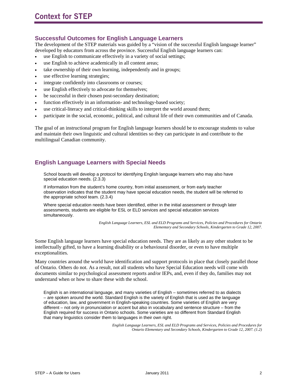#### **Successful Outcomes for English Language Learners**

The development of the STEP materials was guided by a "vision of the successful English language learner" developed by educators from across the province. Successful English language learners can:

- use English to communicate effectively in a variety of social settings;
- use English to achieve academically in all content areas;
- take ownership of their own learning, independently and in groups;
- use effective learning strategies;
- integrate confidently into classrooms or courses;
- use English effectively to advocate for themselves;
- be successful in their chosen post-secondary destination;
- function effectively in an information- and technology-based society;
- use critical-literacy and critical-thinking skills to interpret the world around them;
- participate in the social, economic, political, and cultural life of their own communities and of Canada.

The goal of an instructional program for English language learners should be to encourage students to value and maintain their own linguistic and cultural identities so they can participate in and contribute to the multilingual Canadian community.

#### **English Language Learners with Special Needs**

School boards will develop a protocol for identifying English language learners who may also have special education needs. (2.3.3)

If information from the student's home country, from initial assessment, or from early teacher observation indicates that the student may have special education needs, the student will be referred to the appropriate school team. (2.3.4)

Where special education needs have been identified, either in the initial assessment or through later assessments, students are eligible for ESL or ELD services and special education services simultaneously.

> *English Language Learners, ESL and ELD Programs and Services, Policies and Procedures for Ontario Elementary and Secondary Schools, Kindergarten to Grade 12, 2007.*

Some English language learners have special education needs. They are as likely as any other student to be intellectually gifted, to have a learning disability or a behavioural disorder, or even to have multiple exceptionalities.

Many countries around the world have identification and support protocols in place that closely parallel those of Ontario. Others do not. As a result, not all students who have Special Education needs will come with documents similar to psychological assessment reports and/or IEPs, and, even if they do, families may not understand when or how to share these with the school.

English is an international language, and many varieties of English – sometimes referred to as dialects – are spoken around the world. Standard English is the variety of English that is used as the language of education, law, and government in English-speaking countries. Some varieties of English are very different – not only in pronunciation or accent but also in vocabulary and sentence structure – from the English required for success in Ontario schools. Some varieties are so different from Standard English that many linguistics consider them to languages in their own right.

> *English Language Learners, ESL and ELD Programs and Services, Policies and Procedures for Ontario Elementary and Secondary Schools, Kindergarten to Grade 12, 2007. (1.2)*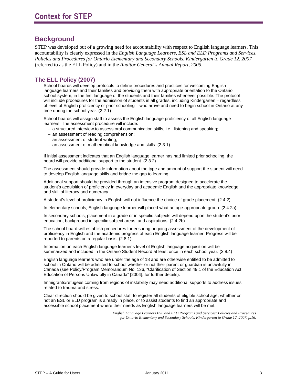# **Background**

STEP was developed out of a growing need for accountability with respect to English language learners. This accountability is clearly expressed in the *English Language Learners, ESL and ELD Programs and Services, Policies and Procedures for Ontario Elementary and Secondary Schools, Kindergarten to Grade 12*, *2007* (referred to as the ELL Policy) and in the *Auditor General's Annual Report, 2005*.

#### **The ELL Policy (2007)**

School boards will develop protocols to define procedures and practices for welcoming English language learners and their families and providing them with appropriate orientation to the Ontario school system, in the first language of the students and their families whenever possible. The protocol will include procedures for the admission of students in all grades, including Kindergarten – regardless of level of English proficiency or prior schooling – who arrive and need to begin school in Ontario at any time during the school year. (2.2.1)

School boards will assign staff to assess the English language proficiency of all English language learners. The assessment procedure will include:

- − a structured interview to assess oral communication skills, i.e., listening and speaking;
- − an assessment of reading comprehension;
- − an assessment of student writing;
- − an assessment of mathematical knowledge and skills. (2.3.1)

If initial assessment indicates that an English language learner has had limited prior schooling, the board will provide additional support to the student. (2.3.2)

The assessment should provide information about the type and amount of support the student will need to develop English language skills and bridge the gap to learning.

Additional support should be provided through an intensive program designed to accelerate the student's acquisition of proficiency in everyday and academic English and the appropriate knowledge and skill of literacy and numeracy.

A student's level of proficiency in English will not influence the choice of grade placement. (2.4.2)

In elementary schools, English language learner will placed what an age-appropriate group. (2.4.2a)

In secondary schools, placement in a grade or in specific subjects will depend upon the student's prior education, background in specific subject areas, and aspirations. (2.4.2b)

The school board will establish procedures for ensuring ongoing assessment of the development of proficiency in English and the academic progress of each English language learner. Progress will be reported to parents on a regular basis. (2.8.1)

Information on each English language learner's level of English language acquisition will be summarized and included in the Ontario Student Record at least once in each school year. (2.8.4)

English language learners who are under the age of 18 and are otherwise entitled to be admitted to school in Ontario will be admitted to school whether or not their parent or guardian is unlawfully in Canada (see Policy/Program Memorandum No. 136, "Clarification of Section 49.1 of the Education Act: Education of Persons Unlawfully in Canada" [2004], for further details).

Immigrants/refugees coming from regions of instability may need additional supports to address issues related to trauma and stress.

Clear direction should be given to school staff to register all students of eligible school age, whether or not an ESL or ELD program is already in place, or to assist students to find an appropriate and accessible school placement where their needs as English language learners will be met.

> *English Language Learners ESL and ELD Programs and Services: Policies and Procedures for Ontario Elementary and Secondary Schools, Kindergarten to Grade 12, 2007. p.16.*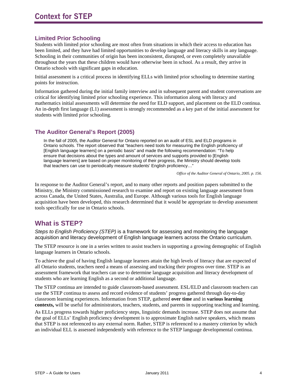#### **Limited Prior Schooling**

Students with limited prior schooling are most often from situations in which their access to education has been limited, and they have had limited opportunities to develop language and literacy skills in any language. Schooling in their communities of origin has been inconsistent, disrupted, or even completely unavailable throughout the years that these children would have otherwise been in school. As a result, they arrive in Ontario schools with significant gaps in education.

Initial assessment is a critical process in identifying ELLs with limited prior schooling to determine starting points for instruction.

Information gathered during the initial family interview and in subsequent parent and student conversations are critical for identifying limited prior schooling experience. This information along with literacy and mathematics initial assessments will determine the need for ELD support, and placement on the ELD continua. An in-depth first language (L1) assessment is strongly recommended as a key part of the initial assessment for students with limited prior schooling.

### **The Auditor General's Report (2005)**

In the fall of 2005, the Auditor General for Ontario reported on an audit of ESL and ELD programs in Ontario schools. The report observed that "teachers need tools for measuring the English proficiency of [English language learners] on a periodic basis" and made the following recommendation: "To help ensure that decisions about the types and amount of services and supports provided to [English language learners] are based on proper monitoring of their progress, the Ministry should develop tools that teachers can use to periodically measure students' English proficiency…"

*Office of the Auditor General of Ontario, 2005. p. 156.* 

In response to the Auditor General's report, and to many other reports and position papers submitted to the Ministry, the Ministry commissioned research to examine and report on existing language assessment from across Canada, the United States, Australia, and Europe. Although various tools for English language acquisition have been developed, this research determined that it would be appropriate to develop assessment tools specifically for use in Ontario schools.

# **What is STEP?**

*Steps to English Proficiency (STEP)* is a framework for assessing and monitoring the language acquisition and literacy development of English language learners across the Ontario curriculum.

The STEP resource is one in a series written to assist teachers in supporting a growing demographic of English language learners in Ontario schools.

To achieve the goal of having English language learners attain the high levels of literacy that are expected of all Ontario students, teachers need a means of assessing and tracking their progress over time. STEP is an assessment framework that teachers can use to determine language acquisition and literacy development of students who are learning English as a second or additional language.

The STEP continua are intended to guide classroom-based assessment. ESL/ELD and classroom teachers can use the STEP continua to assess and record evidence of students' progress gathered through day-to-day classroom learning experiences. Information from STEP, gathered **over time** and in **various learning contexts,** will be useful for administrators, teachers, students, and parents in supporting teaching and learning.

As ELLs progress towards higher proficiency steps, linguistic demands increase. STEP does not assume that the goal of ELLs' English proficiency development is to approximate English native speakers, which means that STEP is not referenced to any external norm. Rather, STEP is referenced to a mastery criterion by which an individual ELL is assessed independently with reference to the STEP language developmental continua.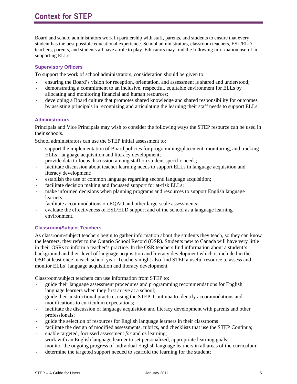# **Context for STEP**

Board and school administrators work in partnership with staff, parents, and students to ensure that every student has the best possible educational experience. School administrators, classroom teachers, ESL/ELD teachers, parents, and students all have a role to play. Educators may find the following information useful in supporting ELLs.

#### **Supervisory Officers**

To support the work of school administrators, consideration should be given to:

- ensuring the Board's vision for reception, orientation, and assessment is shared and understood;
- demonstrating a commitment to an inclusive, respectful, equitable environment for ELLs by allocating and monitoring financial and human resources;
- developing a Board culture that promotes shared knowledge and shared responsibility for outcomes by assisting principals in recognizing and articulating the learning their staff needs to support ELLs.

#### **Administrators**

Principals and Vice Principals may wish to consider the following ways the STEP resource can be used in their schools.

School administrators can use the STEP initial assessment to:

- support the implementation of Board policies for programming/placement, monitoring, and tracking ELLs' language acquisition and literacy development;
- provide data to focus discussion among staff on student-specific needs;
- facilitate discussion about teacher learning needs to support ELLs in language acquisition and literacy development;
- establish the use of common language regarding second language acquisition;
- facilitate decision making and focussed support for at-risk ELLs;
- make informed decisions when planning programs and resources to support English language learners;
- facilitate accommodations on EQAO and other large-scale assessments;
- evaluate the effectiveness of ESL/ELD support and of the school as a language learning environment.

#### **Classroom/Subject Teachers**

As classroom/subject teachers begin to gather information about the students they teach, so they can know the learners, they refer to the Ontario School Record (OSR). Students new to Canada will have very little in their OSRs to inform a teacher's practice. In the OSR teachers find information about a student's background and their level of language acquisition and literacy development which is included in the OSR at least once in each school year. Teachers might also find STEP a useful resource to assess and monitor ELLs' language acquisition and literacy development.

Classroom/subject teachers can use information from STEP to:

- guide their language assessment procedures and programming recommendations for English language learners when they first arrive at a school;
- guide their instructional practice, using the STEP Continua to identify accommodations and modifications to curriculum expectations;
- facilitate the discussion of language acquisition and literacy development with parents and other professionals;
- guide the selection of resources for English language learners in their classrooms
- facilitate the design of modified assessments, rubrics, and checklists that use the STEP Continua;
- enable targeted, focussed assessment *for* and *as* learning;
- work with an English language learner to set personalized, appropriate learning goals;
- monitor the ongoing progress of individual English language learners in all areas of the curriculum;
- determine the targeted support needed to scaffold the learning for the student;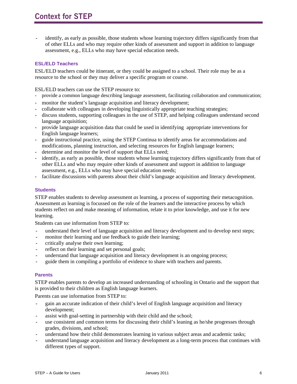identify, as early as possible, those students whose learning trajectory differs significantly from that of other ELLs and who may require other kinds of assessment and support in addition to language assessment, e.g., ELLs who may have special education needs.

#### **ESL/ELD Teachers**

ESL/ELD teachers could be itinerant, or they could be assigned to a school. Their role may be as a resource to the school or they may deliver a specific program or course.

ESL/ELD teachers can use the STEP resource to:

- provide a common language describing language assessment, facilitating collaboration and communication;
- monitor the student's language acquisition and literacy development;
- collaborate with colleagues in developing linguistically appropriate teaching strategies;
- discuss students, supporting colleagues in the use of STEP, and helping colleagues understand second language acquisition;
- provide language acquisition data that could be used in identifying appropriate interventions for English language learners;
- guide instructional practice, using the STEP Continua to identify areas for accommodations and modifications, planning instruction, and selecting resources for English language learners;
- determine and monitor the level of support that ELLs need;
- identify, as early as possible, those students whose learning trajectory differs significantly from that of other ELLs and who may require other kinds of assessment and support in addition to language assessment, e.g., ELLs who may have special education needs;
- facilitate discussions with parents about their child's language acquisition and literacy development.

#### **Students**

STEP enables students to develop assessment *as* learning, a process of supporting their metacognition. Assessment *as* learning is focussed on the role of the learners and the interactive process by which students reflect on and make meaning of information, relate it to prior knowledge, and use it for new learning.

Students can use information from STEP to:

- understand their level of language acquisition and literacy development and to develop next steps;
- monitor their learning and use feedback to guide their learning;
- critically analyse their own learning;
- reflect on their learning and set personal goals;
- understand that language acquisition and literacy development is an ongoing process;
- guide them in compiling a portfolio of evidence to share with teachers and parents.

#### **Parents**

STEP enables parents to develop an increased understanding of schooling in Ontario and the support that is provided to their children as English language learners.

Parents can use information from STEP to:

- gain an accurate indication of their child's level of English language acquisition and literacy development;
- assist with goal-setting in partnership with their child and the school;
- use consistent and common terms for discussing their child's leaning as he/she progresses through grades, divisions, and school;
- understand how their child demonstrates learning in various subject areas and academic tasks;
- understand language acquisition and literacy development as a long-term process that continues with different types of support.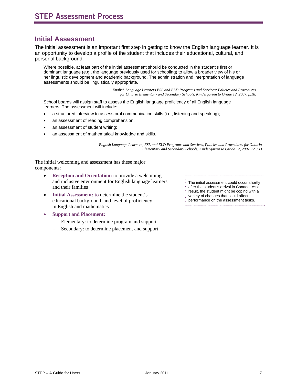# **Initial Assessment**

The initial assessment is an important first step in getting to know the English language learner. It is an opportunity to develop a profile of the student that includes their educational, cultural, and personal background.

Where possible, at least part of the initial assessment should be conducted in the student's first or dominant language (e.g., the language previously used for schooling) to allow a broader view of his or her linguistic development and academic background. The administration and interpretation of language assessments should be linguistically appropriate.

> *English Language Learners ESL and ELD Programs and Services: Policies and Procedures for Ontario Elementary and Secondary Schools, Kindergarten to Grade 12, 2007. p.18.*

School boards will assign staff to assess the English language proficiency of all English language learners. The assessment will include:

- a structured interview to assess oral communication skills (i.e., listening and speaking);
- an assessment of reading comprehension;
- an assessment of student writing;
- an assessment of mathematical knowledge and skills.

*English Language Learners, ESL and ELD Programs and Services, Policies and Procedures for Ontario Elementary and Secondary Schools, Kindergarten to Grade 12, 2007. (2.3.1)* 

The initial welcoming and assessment has these major components:

- **Reception and Orientation:** to provide a welcoming and inclusive environment for English language learners and their families
- Initial Assessment: to determine the student's educational background, and level of proficiency in English and mathematics
- **Support and Placement:** 
	- Elementary: to determine program and support
	- Secondary: to determine placement and support

The initial assessment could occur shortly

- after the student's arrival in Canada. As a
- result, the student might be coping with a
- variety of changes that could affect
- performance on the assessment tasks.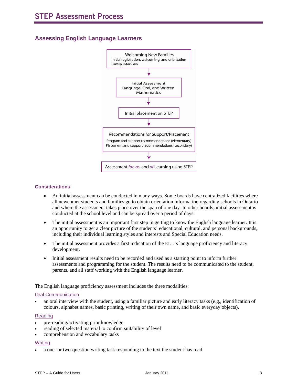### **Assessing English Language Learners**



#### **Considerations**

- An initial assessment can be conducted in many ways. Some boards have centralized facilities where all newcomer students and families go to obtain orientation information regarding schools in Ontario and where the assessment takes place over the span of one day. In other boards, initial assessment is conducted at the school level and can be spread over a period of days.
- The initial assessment is an important first step in getting to know the English language learner. It is an opportunity to get a clear picture of the students' educational, cultural, and personal backgrounds, including their individual learning styles and interests and Special Education needs.
- The initial assessment provides a first indication of the ELL's language proficiency and literacy development.
- Initial assessment results need to be recorded and used as a starting point to inform further assessments and programming for the student. The results need to be communicated to the student, parents, and all staff working with the English language learner.

The English language proficiency assessment includes the three modalities:

#### Oral Communication

• an oral interview with the student, using a familiar picture and early literacy tasks (e.g., identification of colours, alphabet names, basic printing, writing of their own name, and basic everyday objects).

#### Reading

- pre-reading/activating prior knowledge
- reading of selected material to confirm suitability of level
- comprehension and vocabulary tasks

#### **Writing**

• a one- or two-question writing task responding to the text the student has read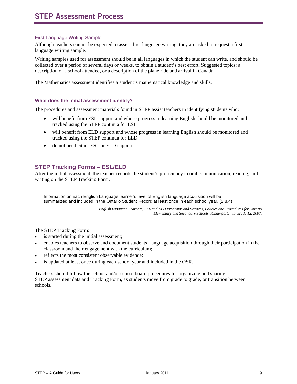#### First Language Writing Sample

Although teachers cannot be expected to assess first language writing, they are asked to request a first language writing sample.

Writing samples used for assessment should be in all languages in which the student can write, and should be collected over a period of several days or weeks, to obtain a student's best effort. Suggested topics: a description of a school attended, or a description of the plane ride and arrival in Canada.

The Mathematics assessment identifies a student's mathematical knowledge and skills.

#### **What does the initial assessment identify?**

The procedures and assessment materials found in STEP assist teachers in identifying students who:

- will benefit from ESL support and whose progress in learning English should be monitored and tracked using the STEP continua for ESL
- will benefit from ELD support and whose progress in learning English should be monitored and tracked using the STEP continua for ELD
- do not need either ESL or ELD support

#### **STEP Tracking Forms – ESL/ELD**

After the initial assessment, the teacher records the student's proficiency in oral communication, reading, and writing on the STEP Tracking Form.

Information on each English Language learner's level of English language acquisition will be summarized and included in the Ontario Student Record at least once in each school year. (2.8.4)

> *English Language Learners, ESL and ELD Programs and Services, Policies and Procedures for Ontario Elementary and Secondary Schools, Kindergarten to Grade 12, 2007.*

The STEP Tracking Form:

- is started during the initial assessment;
- enables teachers to observe and document students' language acquisition through their participation in the classroom and their engagement with the curriculum;
- reflects the most consistent observable evidence;
- is updated at least once during each school year and included in the OSR.

Teachers should follow the school and/or school board procedures for organizing and sharing STEP assessment data and Tracking Form, as students move from grade to grade, or transition between schools.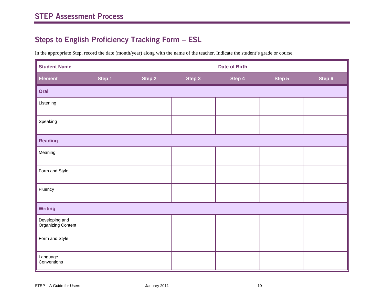# **Steps to English Proficiency Tracking Form – ESL**

In the appropriate Step, record the date (month/year) along with the name of the teacher. Indicate the student's grade or course.

| <b>Student Name</b><br><b>Date of Birth</b> |        |        |        |        |        |        |
|---------------------------------------------|--------|--------|--------|--------|--------|--------|
| <b>Element</b>                              | Step 1 | Step 2 | Step 3 | Step 4 | Step 5 | Step 6 |
| Oral                                        |        |        |        |        |        |        |
| Listening                                   |        |        |        |        |        |        |
| Speaking                                    |        |        |        |        |        |        |
| <b>Reading</b>                              |        |        |        |        |        |        |
| Meaning                                     |        |        |        |        |        |        |
| Form and Style                              |        |        |        |        |        |        |
| Fluency                                     |        |        |        |        |        |        |
| <b>Writing</b>                              |        |        |        |        |        |        |
| Developing and<br>Organizing Content        |        |        |        |        |        |        |
| Form and Style                              |        |        |        |        |        |        |
| Language<br>Conventions                     |        |        |        |        |        |        |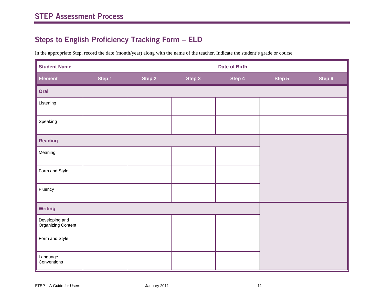# **Steps to English Proficiency Tracking Form – ELD**

In the appropriate Step, record the date (month/year) along with the name of the teacher. Indicate the student's grade or course.

| <b>Student Name</b><br><b>Date of Birth</b> |        |        |        |        |        |        |
|---------------------------------------------|--------|--------|--------|--------|--------|--------|
| <b>Element</b>                              | Step 1 | Step 2 | Step 3 | Step 4 | Step 5 | Step 6 |
| Oral                                        |        |        |        |        |        |        |
| Listening                                   |        |        |        |        |        |        |
| Speaking                                    |        |        |        |        |        |        |
| <b>Reading</b>                              |        |        |        |        |        |        |
| Meaning                                     |        |        |        |        |        |        |
| Form and Style                              |        |        |        |        |        |        |
| Fluency                                     |        |        |        |        |        |        |
| <b>Writing</b>                              |        |        |        |        |        |        |
| Developing and<br>Organizing Content        |        |        |        |        |        |        |
| Form and Style                              |        |        |        |        |        |        |
| Language<br>Conventions                     |        |        |        |        |        |        |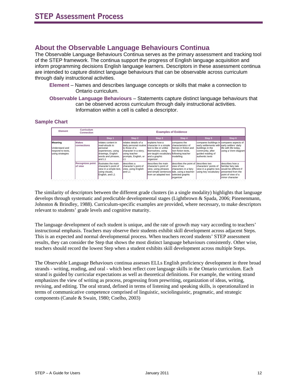# **About the Observable Language Behaviours Continua**

The Observable Language Behaviours Continua serves as the primary assessment and tracking tool of the STEP framework. The continua support the progress of English language acquisition and inform programming decisions English language learners. Descriptors in these assessment continua are intended to capture distinct language behaviours that can be observable across curriculum through daily instructional activities.

- **Element** Names and describes language concepts or skills that make a connection to Ontario curriculum.
- **Observable Language Behaviours** Statements capture distinct language behaviours that can be observed across curriculum through daily instructional activities. Information within a cell is called a descriptor.

#### **Sample Chart**

| Element                                                            | Curriculum<br>Connection           | <b>Examples of Evidence</b>                                                                                                 |                                                                                                                                                          |                                                                                                                                          |                                                                                                                |                                                                                                                                                                            |                                                                                                         |
|--------------------------------------------------------------------|------------------------------------|-----------------------------------------------------------------------------------------------------------------------------|----------------------------------------------------------------------------------------------------------------------------------------------------------|------------------------------------------------------------------------------------------------------------------------------------------|----------------------------------------------------------------------------------------------------------------|----------------------------------------------------------------------------------------------------------------------------------------------------------------------------|---------------------------------------------------------------------------------------------------------|
|                                                                    |                                    | Step 1                                                                                                                      | Step 2                                                                                                                                                   | Step 3                                                                                                                                   | Step 4                                                                                                         | Step 5                                                                                                                                                                     | Step 6                                                                                                  |
| Meaning<br>Understand and<br>respond to texts.<br>using strategies | <b>Makes</b><br><b>connections</b> | relates content in<br>read-alouds to<br>personal<br>experiences, using<br>drawings, English<br>words and phrases,<br>and L1 | relates details of a<br>daily personal routine character in a simple<br>to those of a<br>character in a story,<br>lusing teacher<br>prompts, English, or | explains how a<br>text is like or unlike<br>themselves, using<br>pre-taught vocabulary following teacher<br>and a graphic<br>organizer   | compares the<br>characteristics of<br>heroes in fiction and<br>Inon-fiction texts.<br><b>Imodelling</b>        | compares buildings in compares aspects of<br>early settlements with learly settlers' daily<br>buildings in the<br>community, after<br>quided reading of<br>authentic texts | life with life today.<br>using a Venn diagram                                                           |
|                                                                    | <b>Recognizes point</b><br>of view | illustrates the main<br>character's point of<br>view in a simple text,<br>using visuals.<br>English, and L1                 | describes a<br>character's point of<br>view, using English<br>land L1                                                                                    | describes the main<br>character's point of<br>view, using phrases<br>and simple sentences tale, using a teacher-<br>from an adapted text | describes the point of describes two<br>view of two<br>characters in a fairv<br>selected graphic<br>lorganizer | characters' points of<br>view in a graphic text, would be different if<br>using key vocabulary                                                                             | describes how a<br>familiar fairy tale<br>Ipresented from the<br>point of view of a<br>Iminor character |

The similarity of descriptors between the different grade clusters (in a single modality) highlights that language develops through systematic and predictable developmental stages (Lightbrown & Spada, 2006; Pinenenmann, Johnston & Brindley, 1988). Curriculum-specific examples are provided, where necessary, to make descriptors relevant to students' grade levels and cognitive maturity.

The language development of each student is unique, and the rate of growth may vary according to teachers' instructional emphasis. Teachers may observe their students exhibit skill development across adjacent Steps. This is an expected and normal developmental process. When teachers record students' STEP assessment results, they can consider the Step that shows the most distinct language behaviours consistently. Other wise, teachers should record the lowest Step when a student exhibits skill development across multiple Steps.

The Observable Language Behaviours continua assesses ELLs English proficiency development in three broad strands - writing, reading, and oral - which best reflect core language skills in the Ontario curriculum. Each strand is guided by curricular expectations as well as theoretical definitions. For example, the writing strand emphasizes the view of writing as process, progressing from prewriting, organization of ideas, writing, revising, and editing. The oral strand, defined in terms of listening and speaking skills, is operationalized in terms of communicative competence comprised of linguistic, sociolinguistic, pragmatic, and strategic components (Canale & Swain, 1980; Coelho, 2003)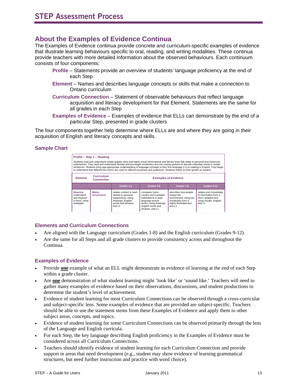# **About the Examples of Evidence Continua**

The Examples of Evidence continua provide concrete and curriculum-specific examples of evidence that illustrate learning behaviours specific to oral, reading, and writing modalities. These continua provide teachers with more detailed information about the observed behaviours. Each continuum consists of four components:

- **Profile** Statements provide an overview of students' language proficiency at the end of each Step
- **Element**  Names and describes language concepts or skills that make a connection to Ontario curriculum
- **Curriculum Connection** Statement of observable behaviours that reflect language acquisition and literacy development for that Element. Statements are the same for all grades in each Step
- **Examples of Evidence** Examples of evidence that ELLs can demonstrate by the end of a particular Step, presented in grade clusters

The four components together help determine where ELLs are and where they are going in their acquisition of English and literacy concepts and skills.

#### **Sample Chart**



#### **Elements and Curriculum Connections**

- Are aligned with the Language curriculum (Grades 1-8) and the English curriculum (Grades 9-12).
- Are the same for all Steps and all grade clusters to provide consistency across and throughout the Continua.

#### **Examples of Evidence**

- Provide **one** example of what an ELL might demonstrate as evidence of learning at the end of each Step within a grade cluster.
- Are **one** demonstration of what student learning might 'look like' or 'sound like.' Teachers will need to gather many examples of evidence based on their observations, discussions, and student productions to determine the student's level of achievement.
- Evidence of student learning for most Curriculum Connections can be observed through a cross-curricular and subject-specific lens. Some examples of evidence that are provided are subject-specific. Teachers should be able to use the statement stems from these Examples of Evidence and apply them to other subject areas, concepts, and topics.
- Evidence of student learning for some Curriculum Connections can be observed primarily through the lens of the Language and English curricula.
- For each Step, the key language describing English proficiency in the Examples of Evidence must be considered across all Curriculum Connections.
- Teachers should identify evidence of student learning for each Curriculum Connection and provide support in areas that need development (e.g., student may show evidence of learning grammatical structures, but need further instruction and practice with word choice).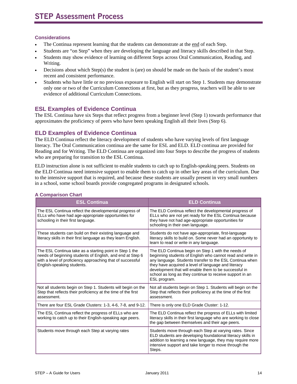#### **Considerations**

- The Continua represent learning that the students can demonstrate at the end of each Step.
- Students are "on Step" when they are developing the language and literacy skills described in that Step.
- Students may show evidence of learning on different Steps across Oral Communication, Reading, and Writing.
- Decisions about which Step(s) the student is (are) on should be made on the basis of the student's most recent and consistent performance.
- Students who have little or no previous exposure to English will start on Step 1. Students may demonstrate only one or two of the Curriculum Connections at first, but as they progress, teachers will be able to see evidence of additional Curriculum Connections.

#### **ESL Examples of Evidence Continua**

The ESL Continua have six Steps that reflect progress from a beginner level (Step 1) towards performance that approximates the proficiency of peers who have been speaking English all their lives (Step 6).

#### **ELD Examples of Evidence Continua**

The ELD Continua reflect the literacy development of students who have varying levels of first language literacy. The Oral Communication continua are the same for ESL and ELD. ELD continua are provided for Reading and for Writing. The ELD Continua are organized into four Steps to describe the progress of students who are preparing for transition to the ESL Continua.

ELD instruction alone is not sufficient to enable students to catch up to English-speaking peers. Students on the ELD Continua need intensive support to enable them to catch up in other key areas of the curriculum. Due to the intensive support that is required, and because these students are usually present in very small numbers in a school, some school boards provide congregated programs in designated schools.

| <b>ESL Continua</b>                                                                                                                                                                                              | <b>ELD Continua</b>                                                                                                                                                                                                                                                                                                                                                      |
|------------------------------------------------------------------------------------------------------------------------------------------------------------------------------------------------------------------|--------------------------------------------------------------------------------------------------------------------------------------------------------------------------------------------------------------------------------------------------------------------------------------------------------------------------------------------------------------------------|
| The ESL Continua reflect the developmental progress of<br>ELLs who have had age-appropriate opportunities for<br>schooling in their first language.                                                              | The ELD Continua reflect the developmental progress of<br>ELLs who are not yet ready for the ESL Continua because<br>they have not had age-appropriate opportunities for<br>schooling in their own language.                                                                                                                                                             |
| These students can build on their existing language and<br>literacy skills in their first language as they learn English.                                                                                        | Students do not have age-appropriate, first-language<br>literacy skills to build on. Some never had an opportunity to<br>learn to read or write in any language.                                                                                                                                                                                                         |
| The ESL Continua take as a starting point in Step 1 the<br>needs of beginning students of English, and end at Step 6<br>with a level of proficiency approaching that of successful<br>English-speaking students. | The ELD Continua begin on Step 1 with the needs of<br>beginning students of English who cannot read and write in<br>any language. Students transfer to the ESL Continua when<br>they have acquired a level of language and literacy<br>development that will enable them to be successful in<br>school as long as they continue to receive support in an<br>ESL program. |
| Not all students begin on Step 1. Students will begin on the<br>Step that reflects their proficiency at the time of the first<br>assessment.                                                                     | Not all students begin on Step 1. Students will begin on the<br>Step that reflects their proficiency at the time of the first<br>assessment.                                                                                                                                                                                                                             |
| There are four ESL Grade Clusters: 1-3, 4-6, 7-8, and 9-12.                                                                                                                                                      | There is only one ELD Grade Cluster: 1-12.                                                                                                                                                                                                                                                                                                                               |
| The ESL Continua reflect the progress of ELLs who are<br>working to catch up to their English-speaking age peers.                                                                                                | The ELD Continua reflect the progress of ELLs with limited<br>literacy skills in their first language who are working to close<br>the gap between themselves and their age peers.                                                                                                                                                                                        |
| Students move through each Step at varying rates                                                                                                                                                                 | Students move through each Step at varying rates. Since<br>ELD students are developing foundational literacy skills in<br>addition to learning a new language, they may require more<br>intensive support and take longer to move through the<br>Steps.                                                                                                                  |

#### **A Comparison Chart**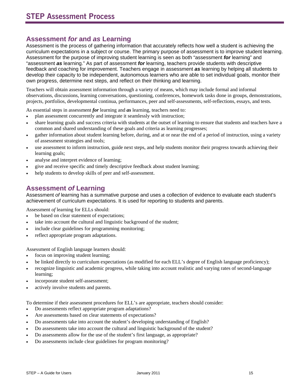# **Assessment** *for* **and** *as* **Learning**

Assessment is the process of gathering information that accurately reflects how well a student is achieving the curriculum expectations in a subject or course. The primary purpose of assessment is to improve student learning. Assessment for the purpose of improving student learning is seen as both "assessment *for* learning" and "assessment *as* learning." As part of assessment *for* learning, teachers provide students with descriptive feedback and coaching for improvement. Teachers engage in assessment *as* learning by helping all students to develop their capacity to be independent, autonomous learners who are able to set individual goals, monitor their own progress, determine next steps, and reflect on their thinking and learning.

Teachers will obtain assessment information through a variety of means, which may include formal and informal observations, discussions, learning conversations, questioning, conferences, homework tasks done in groups, demonstrations, projects, portfolios, developmental continua, performances, peer and self-assessments, self-reflections, essays, and tests.

As essential steps in assessment *for* learning and *as* learning, teachers need to:

- plan assessment concurrently and integrate it seamlessly with instruction;
- share learning goals and success criteria with students at the outset of learning to ensure that students and teachers have a common and shared understanding of these goals and criteria as learning progresses;
- gather information about student learning before, during, and at or near the end of a period of instruction, using a variety of assessment strategies and tools;
- use assessment to inform instruction, guide next steps, and help students monitor their progress towards achieving their learning goals;
- analyse and interpret evidence of learning;
- give and receive specific and timely descriptive feedback about student learning;
- help students to develop skills of peer and self-assessment.

# **Assessment** *of* **Learning**

Assessment *of* learning has a summative purpose and uses a collection of evidence to evaluate each student's achievement of curriculum expectations. It is used for reporting to students and parents.

Assessment *of* learning for ELLs should:

- be based on clear statement of expectations;
- take into account the cultural and linguistic background of the student;
- include clear guidelines for programming monitoring;
- reflect appropriate program adaptations.

Assessment of English language learners should:

- focus on improving student learning;
- be linked directly to curriculum expectations (as modified for each ELL's degree of English language proficiency);
- recognize linguistic and academic progress, while taking into account realistic and varying rates of second-language learning;
- incorporate student self-assessment;
- actively involve students and parents.

To determine if their assessment procedures for ELL's are appropriate, teachers should consider:

- Do assessments reflect appropriate program adaptations?
- Are assessments based on clear statements of expectations?
- Do assessments take into account the student's developing understanding of English?
- Do assessments take into account the cultural and linguistic background of the student?
- Do assessments allow for the use of the student's first language, as appropriate?
- Do assessments include clear guidelines for program monitoring?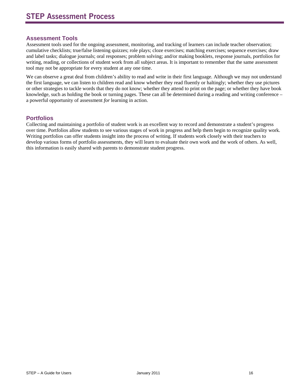#### **Assessment Tools**

Assessment tools used for the ongoing assessment, monitoring, and tracking of learners can include teacher observation; cumulative checklists; true/false listening quizzes; role plays; cloze exercises; matching exercises; sequence exercises; draw and label tasks; dialogue journals; oral responses; problem solving; and/or making booklets, response journals, portfolios for writing, reading, or collections of student work from all subject areas. It is important to remember that the same assessment tool may not be appropriate for every student at any one time.

We can observe a great deal from children's ability to read and write in their first language. Although we may not understand the first language, we can listen to children read and know whether they read fluently or haltingly; whether they use pictures or other strategies to tackle words that they do not know; whether they attend to print on the page; or whether they have book knowledge, such as holding the book or turning pages. These can all be determined during a reading and writing conference – a powerful opportunity of assessment *for* learning in action.

#### **Portfolios**

Collecting and maintaining a portfolio of student work is an excellent way to record and demonstrate a student's progress over time. Portfolios allow students to see various stages of work in progress and help them begin to recognize quality work. Writing portfolios can offer students insight into the process of writing. If students work closely with their teachers to develop various forms of portfolio assessments, they will learn to evaluate their own work and the work of others. As well, this information is easily shared with parents to demonstrate student progress.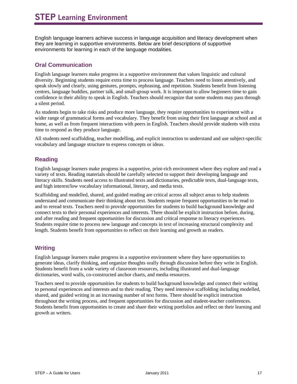English language learners achieve success in language acquisition and literacy development when they are learning in supportive environments. Below are brief descriptions of supportive environments for learning in each of the language modalities.

### **Oral Communication**

English language learners make progress in a supportive environment that values linguistic and cultural diversity. Beginning students require extra time to process language. Teachers need to listen attentively, and speak slowly and clearly, using gestures, prompts, rephrasing, and repetition. Students benefit from listening centres, language buddies, partner talk, and small-group work. It is important to allow beginners time to gain confidence in their ability to speak in English. Teachers should recognize that some students may pass through a silent period.

As students begin to take risks and produce more language, they require opportunities to experiment with a wider range of grammatical forms and vocabulary. They benefit from using their first language at school and at home, as well as from frequent interactions with peers in English. Teachers should provide students with extra time to respond as they produce language.

All students need scaffolding, teacher modelling, and explicit instruction to understand and use subject-specific vocabulary and language structure to express concepts or ideas.

### **Reading**

English language learners make progress in a supportive, print-rich environment where they explore and read a variety of texts. Reading materials should be carefully selected to support their developing language and literacy skills. Students need access to illustrated texts and dictionaries, predictable texts, dual-language texts, and high interest/low vocabulary informational, literary, and media texts.

Scaffolding and modelled, shared, and guided reading are critical across all subject areas to help students understand and communicate their thinking about text. Students require frequent opportunities to be read to and to reread texts. Teachers need to provide opportunities for students to build background knowledge and connect texts to their personal experiences and interests. There should be explicit instruction before, during, and after reading and frequent opportunities for discussion and critical response to literacy experiences. Students require time to process new language and concepts in text of increasing structural complexity and length. Students benefit from opportunities to reflect on their learning and growth as readers.

#### **Writing**

English language learners make progress in a supportive environment where they have opportunities to generate ideas, clarify thinking, and organize thoughts orally through discussion before they write in English. Students benefit from a wide variety of classroom resources, including illustrated and dual-language dictionaries, word walls, co-constructed anchor charts, and media resources.

Teachers need to provide opportunities for students to build background knowledge and connect their writing to personal experiences and interests and to their reading. They need intensive scaffolding including modelled, shared, and guided writing in an increasing number of text forms. There should be explicit instruction throughout the writing process, and frequent opportunities for discussion and student-teacher conferences. Students benefit from opportunities to create and share their writing portfolios and reflect on their learning and growth as writers.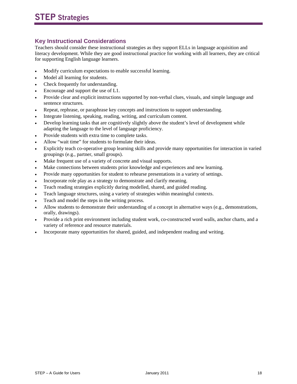#### **Key Instructional Considerations**

Teachers should consider these instructional strategies as they support ELLs in language acquisition and literacy development. While they are good instructional practice for working with all learners, they are critical for supporting English language learners.

- Modify curriculum expectations to enable successful learning.
- Model all learning for students.
- Check frequently for understanding.
- Encourage and support the use of L1.
- Provide clear and explicit instructions supported by non-verbal clues, visuals, and simple language and sentence structures.
- Repeat, rephrase, or paraphrase key concepts and instructions to support understanding.
- Integrate listening, speaking, reading, writing, and curriculum content.
- Develop learning tasks that are cognitively slightly above the student's level of development while adapting the language to the level of language proficiency.
- Provide students with extra time to complete tasks.
- Allow "wait time" for students to formulate their ideas.
- Explicitly teach co-operative group learning skills and provide many opportunities for interaction in varied groupings (e.g., partner, small groups).
- Make frequent use of a variety of concrete and visual supports.
- Make connections between students prior knowledge and experiences and new learning.
- Provide many opportunities for student to rehearse presentations in a variety of settings.
- Incorporate role play as a strategy to demonstrate and clarify meaning.
- Teach reading strategies explicitly during modelled, shared, and guided reading.
- Teach language structures, using a variety of strategies within meaningful contexts.
- Teach and model the steps in the writing process.
- Allow students to demonstrate their understanding of a concept in alternative ways (e.g., demonstrations, orally, drawings).
- Provide a rich print environment including student work, co-constructed word walls, anchor charts, and a variety of reference and resource materials.
- Incorporate many opportunities for shared, guided, and independent reading and writing.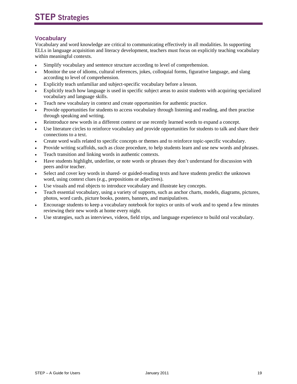#### **Vocabulary**

Vocabulary and word knowledge are critical to communicating effectively in all modalities. In supporting ELLs in language acquisition and literacy development, teachers must focus on explicitly teaching vocabulary within meaningful contexts.

- Simplify vocabulary and sentence structure according to level of comprehension.
- Monitor the use of idioms, cultural references, jokes, colloquial forms, figurative language, and slang according to level of comprehension.
- Explicitly teach unfamiliar and subject-specific vocabulary before a lesson.
- Explicitly teach how language is used in specific subject areas to assist students with acquiring specialized vocabulary and language skills.
- Teach new vocabulary in context and create opportunities for authentic practice.
- Provide opportunities for students to access vocabulary through listening and reading, and then practise through speaking and writing.
- Reintroduce new words in a different context or use recently learned words to expand a concept.
- Use literature circles to reinforce vocabulary and provide opportunities for students to talk and share their connections to a text.
- Create word walls related to specific concepts or themes and to reinforce topic-specific vocabulary.
- Provide writing scaffolds, such as cloze procedure, to help students learn and use new words and phrases.
- Teach transition and linking words in authentic contexts.
- Have students highlight, underline, or note words or phrases they don't understand for discussion with peers and/or teacher.
- Select and cover key words in shared- or guided-reading texts and have students predict the unknown word, using context clues (e.g., prepositions or adjectives).
- Use visuals and real objects to introduce vocabulary and illustrate key concepts.
- Teach essential vocabulary, using a variety of supports, such as anchor charts, models, diagrams, pictures, photos, word cards, picture books, posters, banners, and manipulatives.
- Encourage students to keep a vocabulary notebook for topics or units of work and to spend a few minutes reviewing their new words at home every night.
- Use strategies, such as interviews, videos, field trips, and language experience to build oral vocabulary.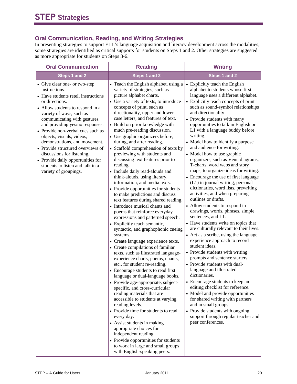## **Oral Communication, Reading, and Writing Strategies**

In presenting strategies to support ELL's language acquisition and literacy development across the modalities, some strategies are identified as critical supports for students on Steps 1 and 2. Other strategies are suggested as more appropriate for students on Steps 3-6.

| <b>Oral Communication</b>                                                                                                                                                                                                                                                                                                                                                                                                                                                                                          | <b>Reading</b>                                                                                                                                                                                                                                                                                                                                                                                                                                                                                                                                                                                                                                                                                                                                                                                                                                                                                                                                                                                                                                                                                                                                                                                                                                                                                                                                                                                                                                                                                                                                                                                                               | <b>Writing</b>                                                                                                                                                                                                                                                                                                                                                                                                                                                                                                                                                                                                                                                                                                                                                                                                                                                                                                                                                                                                                                                                                                                                                                                                                                                                                                                                                                                                                          |  |
|--------------------------------------------------------------------------------------------------------------------------------------------------------------------------------------------------------------------------------------------------------------------------------------------------------------------------------------------------------------------------------------------------------------------------------------------------------------------------------------------------------------------|------------------------------------------------------------------------------------------------------------------------------------------------------------------------------------------------------------------------------------------------------------------------------------------------------------------------------------------------------------------------------------------------------------------------------------------------------------------------------------------------------------------------------------------------------------------------------------------------------------------------------------------------------------------------------------------------------------------------------------------------------------------------------------------------------------------------------------------------------------------------------------------------------------------------------------------------------------------------------------------------------------------------------------------------------------------------------------------------------------------------------------------------------------------------------------------------------------------------------------------------------------------------------------------------------------------------------------------------------------------------------------------------------------------------------------------------------------------------------------------------------------------------------------------------------------------------------------------------------------------------------|-----------------------------------------------------------------------------------------------------------------------------------------------------------------------------------------------------------------------------------------------------------------------------------------------------------------------------------------------------------------------------------------------------------------------------------------------------------------------------------------------------------------------------------------------------------------------------------------------------------------------------------------------------------------------------------------------------------------------------------------------------------------------------------------------------------------------------------------------------------------------------------------------------------------------------------------------------------------------------------------------------------------------------------------------------------------------------------------------------------------------------------------------------------------------------------------------------------------------------------------------------------------------------------------------------------------------------------------------------------------------------------------------------------------------------------------|--|
| Steps 1 and 2                                                                                                                                                                                                                                                                                                                                                                                                                                                                                                      | Steps 1 and 2                                                                                                                                                                                                                                                                                                                                                                                                                                                                                                                                                                                                                                                                                                                                                                                                                                                                                                                                                                                                                                                                                                                                                                                                                                                                                                                                                                                                                                                                                                                                                                                                                | Steps 1 and 2                                                                                                                                                                                                                                                                                                                                                                                                                                                                                                                                                                                                                                                                                                                                                                                                                                                                                                                                                                                                                                                                                                                                                                                                                                                                                                                                                                                                                           |  |
| • Give clear one- or two-step<br>instructions.<br>• Have students retell instructions<br>or directions.<br>• Allow students to respond in a<br>variety of ways, such as<br>communicating with gestures,<br>and providing yes/no responses.<br>• Provide non-verbal cues such as<br>objects, visuals, videos,<br>demonstrations, and movement.<br>• Provide structured overviews of<br>discussions for listening.<br>• Provide daily opportunities for<br>students to listen and talk in a<br>variety of groupings. | • Teach the English alphabet, using a<br>variety of strategies, such as<br>picture alphabet charts.<br>• Use a variety of texts, to introduce<br>concepts of print, such as<br>directionality, upper and lower<br>case letters, and features of text.<br>• Build on prior knowledge with<br>much pre-reading discussion.<br>• Use graphic organizers before,<br>during, and after reading.<br>• Scaffold comprehension of texts by<br>previewing with students and<br>discussing text features prior to<br>reading.<br>• Include daily read-alouds and<br>think-alouds, using literary,<br>information, and media texts.<br>• Provide opportunities for students<br>to make predictions and discuss<br>text features during shared reading.<br>• Introduce musical chants and<br>poems that reinforce everyday<br>expressions and patterned speech.<br>• Explicitly teach semantic,<br>syntactic, and graphophonic cueing<br>systems.<br>• Create language experience texts.<br>• Create compilations of familiar<br>texts, such as illustrated language-<br>experience charts, poems, chants,<br>etc., for student re-reading.<br>• Encourage students to read first<br>language or dual-language books.<br>• Provide age-appropriate, subject-<br>specific, and cross-curricular<br>reading materials that are<br>accessible to students at varying<br>reading levels.<br>• Provide time for students to read<br>every day.<br>• Assist students in making<br>appropriate choices for<br>independent reading.<br>• Provide opportunities for students<br>to work in large and small groups<br>with English-speaking peers. | • Explicitly teach the English<br>alphabet to students whose first<br>language uses a different alphabet.<br>• Explicitly teach concepts of print<br>such as sound-symbol relationships<br>and directionality.<br>• Provide students with many<br>opportunities to talk in English or<br>L1 with a language buddy before<br>writing.<br>• Model how to identify a purpose<br>and audience for writing.<br>• Model how to use graphic<br>organizers, such as Venn diagrams,<br>T-charts, word webs and story<br>maps, to organize ideas for writing.<br>• Encourage the use of first language<br>(L1) in journal writing, personal<br>dictionaries, word lists, prewriting<br>activities, and when preparing<br>outlines or drafts.<br>• Allow students to respond in<br>drawings, words, phrases, simple<br>sentences, and L1.<br>• Have students write on topics that<br>are culturally relevant to their lives.<br>• Act as a scribe, using the language<br>experience approach to record<br>student ideas.<br>• Provide students with writing<br>prompts and sentence starters.<br>• Provide students with dual-<br>language and illustrated<br>dictionaries.<br>• Encourage students to keep an<br>editing checklist for reference.<br>• Model and provide opportunities<br>for shared writing with partners<br>and in small groups.<br>• Provide students with ongoing<br>support through regular teacher and<br>peer conferences. |  |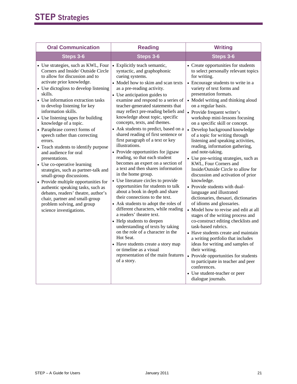| <b>Oral Communication</b>                                                                                                                                                                                                                                                                                                                                                                                                                                                                                                                                                                                                                                                                                                                                                                                                                 | <b>Reading</b>                                                                                                                                                                                                                                                                                                                                                                                                                                                                                                                                                                                                                                                                                                                                                                                                                                                                                                                                                                                                                                                                                                                                                                             | <b>Writing</b>                                                                                                                                                                                                                                                                                                                                                                                                                                                                                                                                                                                                                                                                                                                                                                                                                                                                                                                                                                                                                                                                                                                                                                                                                                             |  |
|-------------------------------------------------------------------------------------------------------------------------------------------------------------------------------------------------------------------------------------------------------------------------------------------------------------------------------------------------------------------------------------------------------------------------------------------------------------------------------------------------------------------------------------------------------------------------------------------------------------------------------------------------------------------------------------------------------------------------------------------------------------------------------------------------------------------------------------------|--------------------------------------------------------------------------------------------------------------------------------------------------------------------------------------------------------------------------------------------------------------------------------------------------------------------------------------------------------------------------------------------------------------------------------------------------------------------------------------------------------------------------------------------------------------------------------------------------------------------------------------------------------------------------------------------------------------------------------------------------------------------------------------------------------------------------------------------------------------------------------------------------------------------------------------------------------------------------------------------------------------------------------------------------------------------------------------------------------------------------------------------------------------------------------------------|------------------------------------------------------------------------------------------------------------------------------------------------------------------------------------------------------------------------------------------------------------------------------------------------------------------------------------------------------------------------------------------------------------------------------------------------------------------------------------------------------------------------------------------------------------------------------------------------------------------------------------------------------------------------------------------------------------------------------------------------------------------------------------------------------------------------------------------------------------------------------------------------------------------------------------------------------------------------------------------------------------------------------------------------------------------------------------------------------------------------------------------------------------------------------------------------------------------------------------------------------------|--|
| Steps 3-6                                                                                                                                                                                                                                                                                                                                                                                                                                                                                                                                                                                                                                                                                                                                                                                                                                 | Steps 3-6                                                                                                                                                                                                                                                                                                                                                                                                                                                                                                                                                                                                                                                                                                                                                                                                                                                                                                                                                                                                                                                                                                                                                                                  | Steps 3-6                                                                                                                                                                                                                                                                                                                                                                                                                                                                                                                                                                                                                                                                                                                                                                                                                                                                                                                                                                                                                                                                                                                                                                                                                                                  |  |
| • Use strategies, such as KWL, Four<br>Corners and Inside/Outside Circle<br>to allow for discussion and to<br>activate prior knowledge.<br>• Use dictogloss to develop listening<br>skills.<br>• Use information extraction tasks<br>to develop listening for key<br>information skills.<br>• Use listening tapes for building<br>knowledge of a topic.<br>• Paraphrase correct forms of<br>speech rather than correcting<br>errors.<br>• Teach students to identify purpose<br>and audience for oral<br>presentations.<br>• Use co-operative learning<br>strategies, such as partner-talk and<br>small-group discussions.<br>• Provide multiple opportunities for<br>authentic speaking tasks, such as<br>debates, readers' theatre, author's<br>chair, partner and small-group<br>problem solving, and group<br>science investigations. | • Explicitly teach semantic,<br>syntactic, and graphophonic<br>cueing systems.<br>• Model how to skim and scan texts<br>as a pre-reading activity.<br>• Use anticipation guides to<br>examine and respond to a series of<br>teacher-generated statements that<br>may reflect pre-reading beliefs and<br>knowledge about topic, specific<br>concepts, texts, and themes.<br>Ask students to predict, based on a<br>shared reading of first sentence or<br>first paragraph of a text or key<br>illustrations.<br>• Provide opportunities for jigsaw<br>reading, so that each student<br>becomes an expert on a section of<br>a text and then shares information<br>in the home group.<br>• Use literature circles to provide<br>opportunities for students to talk<br>about a book in depth and share<br>their connections to the text.<br>• Ask students to adopt the roles of<br>different characters, while reading<br>a readers' theatre text.<br>• Help students to deepen<br>understanding of texts by taking<br>on the role of a character in the<br>Hot Seat.<br>• Have students create a story map<br>or timeline as a visual<br>representation of the main features<br>of a story. | • Create opportunities for students<br>to select personally relevant topics<br>for writing.<br>• Encourage students to write in a<br>variety of text forms and<br>presentation formats.<br>• Model writing and thinking aloud<br>on a regular basis.<br>• Provide frequent writer's<br>workshop mini-lessons focusing<br>on a specific skill or concept.<br>• Develop background knowledge<br>of a topic for writing through<br>listening and speaking activities,<br>reading, information gathering,<br>and note-taking.<br>• Use pre-writing strategies, such as<br>KWL, Four Corners and<br>Inside/Outside Circle to allow for<br>discussion and activation of prior<br>knowledge.<br>• Provide students with dual-<br>language and illustrated<br>dictionaries, thesauri, dictionaries<br>of idioms and glossaries.<br>• Model how to revise and edit at all<br>stages of the writing process and<br>co-construct editing checklists and<br>task-based rubrics.<br>• Have students create and maintain<br>a writing portfolio that includes<br>ideas for writing and samples of<br>their writing.<br>• Provide opportunities for students<br>to participate in teacher and peer<br>conferences.<br>• Use student-teacher or peer<br>dialogue journals. |  |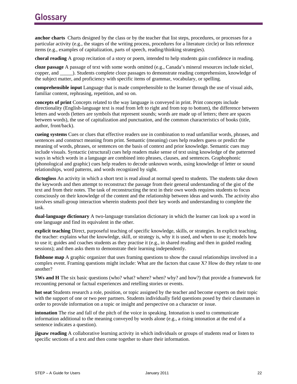**anchor charts** Charts designed by the class or by the teacher that list steps, procedures, or processes for a particular activity (e.g., the stages of the writing process, procedures for a literature circle) or lists reference items (e.g., examples of capitalization, parts of speech, reading/thinking strategies).

**choral reading** A group recitation of a story or poem, intended to help students gain confidence in reading.

**cloze passage** A passage of text with some words omitted (e.g., Canada's mineral resources include nickel, copper, and \_\_\_\_\_). Students complete cloze passages to demonstrate reading comprehension, knowledge of the subject matter, and proficiency with specific items of grammar, vocabulary, or spelling.

**comprehensible input** Language that is made comprehensible to the learner through the use of visual aids, familiar content, rephrasing, repetition, and so on.

**concepts of print** Concepts related to the way language is conveyed in print. Print concepts include directionality (English-language text is read from left to right and from top to bottom), the difference between letters and words (letters are symbols that represent sounds; words are made up of letters; there are spaces between words), the use of capitalization and punctuation, and the common characteristics of books (title, author, front/back).

**cueing systems** Cues or clues that effective readers use in combination to read unfamiliar words, phrases, and sentences and construct meaning from print. Semantic (meaning) cues help readers guess or predict the meaning of words, phrases, or sentences on the basis of context and prior knowledge. Semantic cues may include visuals. Syntactic (structural) cues help readers make sense of text using knowledge of the patterned ways in which words in a language are combined into phrases, clauses, and sentences. Graphophonic (phonological and graphic) cues help readers to decode unknown words, using knowledge of letter or sound relationships, word patterns, and words recognized by sight.

**dictogloss** An activity in which a short text is read aloud at normal speed to students. The students take down the keywords and then attempt to reconstruct the passage from their general understanding of the gist of the text and from their notes. The task of reconstructing the text in their own words requires students to focus consciously on their knowledge of the content and the relationship between ideas and words. The activity also involves small-group interaction wherein students pool their key words and understanding to complete the task.

**dual-language dictionary** A two-language translation dictionary in which the learner can look up a word in one language and find its equivalent in the other.

**explicit teaching** Direct, purposeful teaching of specific knowledge, skills, or strategies. In explicit teaching, the teacher: explains what the knowledge, skill, or strategy is, why it is used, and when to use it; models how to use it; guides and coaches students as they practise it (e.g., in shared reading and then in guided reading sessions); and then asks them to demonstrate their learning independently.

**fishbone map** A graphic organizer that uses framing questions to show the causal relationships involved in a complex event. Framing questions might include: What are the factors that cause X? How do they relate to one another?

**5Ws and H** The six basic questions (who? what? where? when? why? and how?) that provide a framework for recounting personal or factual experiences and retelling stories or events.

**hot seat** Students research a role, position, or topic assigned by the teacher and become experts on their topic with the support of one or two peer partners. Students individually field questions posed by their classmates in order to provide information on a topic or insight and perspective on a character or issue.

**intonation** The rise and fall of the pitch of the voice in speaking. Intonation is used to communicate information additional to the meaning conveyed by words alone (e.g., a rising intonation at the end of a sentence indicates a question).

**jigsaw reading** A collaborative learning activity in which individuals or groups of students read or listen to specific sections of a text and then come together to share their information.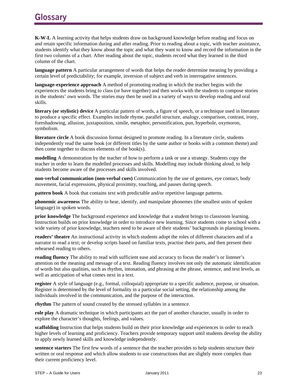**K-W-L** A learning activity that helps students draw on background knowledge before reading and focus on and retain specific information during and after reading. Prior to reading about a topic, with teacher assistance, students identify what they know about the topic and what they want to know and record the information in the first two columns of a chart. After reading about the topic, students record what they learned in the third column of the chart.

**language pattern** A particular arrangement of words that helps the reader determine meaning by providing a certain level of predictability; for example, inversion of subject and verb in interrogative sentences.

**language-experience approach** A method of promoting reading in which the teacher begins with the experiences the students bring to class (or have together) and then works with the students to compose stories in the students' own words. The stories may then be used in a variety of ways to develop reading and oral skills.

**literary (or stylistic) device** A particular pattern of words, a figure of speech, or a technique used in literature to produce a specific effect. Examples include rhyme, parallel structure, analogy, comparison, contrast, irony, foreshadowing, allusion, juxtaposition, simile, metaphor, personification, pun, hyperbole, oxymoron, symbolism.

**literature circle** A book discussion format designed to promote reading. In a literature circle, students independently read the same book (or different titles by the same author or books with a common theme) and then come together to discuss elements of the book(s).

**modelling** A demonstration by the teacher of how to perform a task or use a strategy. Students copy the teacher in order to learn the modelled processes and skills. Modelling may include thinking aloud, to help students become aware of the processes and skills involved.

**non-verbal communication (non-verbal cues)** Communication by the use of gestures, eye contact, body movement, facial expressions, physical proximity, touching, and pauses during speech.

**pattern book** A book that contains text with predictable and/or repetitive language patterns.

**phonemic awareness** The ability to hear, identify, and manipulate phonemes (the smallest units of spoken language) in spoken words.

**prior knowledge** The background experience and knowledge that a student brings to classroom learning. Instruction builds on prior knowledge in order to introduce new learning. Since students come to school with a wide variety of prior knowledge, teachers need to be aware of their students' backgrounds in planning lessons.

**readers' theatre** An instructional activity in which students adopt the roles of different characters and of a narrator to read a text; or develop scripts based on familiar texts, practise their parts, and then present their rehearsed reading to others.

**reading fluency** The ability to read with sufficient ease and accuracy to focus the reader's or listener's attention on the meaning and message of a text. Reading fluency involves not only the automatic identification of words but also qualities, such as rhythm, intonation, and phrasing at the phrase, sentence, and text levels, as well as anticipation of what comes next in a text.

**register** A style of language (e.g., formal, colloquial) appropriate to a specific audience, purpose, or situation. Register is determined by the level of formality in a particular social setting, the relationship among the individuals involved in the communication, and the purpose of the interaction.

**rhythm** The pattern of sound created by the stressed syllables in a sentence.

**role play** A dramatic technique in which participants act the part of another character, usually in order to explore the character's thoughts, feelings, and values.

**scaffolding** Instruction that helps students build on their prior knowledge and experiences in order to reach higher levels of learning and proficiency. Teachers provide temporary support until students develop the ability to apply newly learned skills and knowledge independently.

**sentence starters** The first few words of a sentence that the teacher provides to help students structure their written or oral response and which allow students to use constructions that are slightly more complex than their current proficiency level.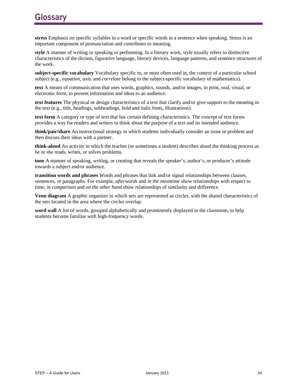**stress** Emphasis on specific syllables in a word or specific words in a sentence when speaking. Stress is an important component of pronunciation and contributes to meaning.

**style** A manner of writing or speaking or performing. In a literary work, style usually refers to distinctive characteristics of the diction, figurative language, literary devices, language patterns, and sentence structures of the work.

**subject-specific vocabulary** Vocabulary specific to, or most often used in, the context of a particular school subject (e.g., *equation*, *axis*, and *correlate* belong to the subject-specific vocabulary of mathematics).

**text** A means of communication that uses words, graphics, sounds, and/or images, in print, oral, visual, or electronic form, to present information and ideas to an audience.

**text features** The physical or design characteristics of a text that clarify and/or give support to the meaning in the text (e.g., title, headings, subheadings, bold and italic fonts, illustrations).

**text form** A category or type of text that has certain defining characteristics. The concept of text forms provides a way for readers and writers to think about the purpose of a text and its intended audience.

**think/pair/share** An instructional strategy in which students individually consider an issue or problem and then discuss their ideas with a partner.

**think-aloud** An activity in which the teacher (or sometimes a student) describes aloud the thinking process as he or she reads, writes, or solves problems.

**tone** A manner of speaking, writing, or creating that reveals the speaker's, author's, or producer's attitude towards a subject and/or audience.

**transition words and phrases** Words and phrases that link and/or signal relationships between clauses, sentences, or paragraphs. For example, *afterwards* and *in the meantime* show relationships with respect to time; *in comparison* and *on the other hand* show relationships of similarity and difference.

**Venn diagram** A graphic organizer in which sets are represented as circles, with the shared characteristics of the sets located in the area where the circles overlap.

**word wall** A list of words, grouped alphabetically and prominently displayed in the classroom, to help students become familiar with high-frequency words.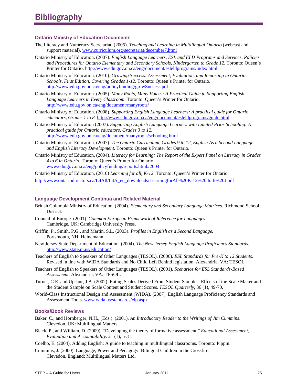#### **Ontario Ministry of Education Documents**

- The Literacy and Numeracy Secretariat. (2005). *Teaching and Learning in Multilingual Ontario* (webcast and support material). www.curriculum.org/secretariat/december7.html
- Ontario Ministry of Education. (2007). *English Language Learners, ESL and ELD Programs and Services, Policies and Procedures for Ontario Elementary and Secondary Schools, Kindergarten to Grade 12*. Toronto: Queen's Printer for Ontario. http://www.edu.gov.on.ca/eng/document/esleldprograms/index.html
- Ontario Ministry of Education. (2010). *Growing Success: Assessment, Evaluation, and Reporting in Ontario Schools, First Edition, Covering Grades 1-12*. Toronto: Queen's Printer for Ontario. http://www.edu.gov.on.ca/eng/policyfunding/growSuccess.pdf
- Ontario Ministry of Education. (2005). *Many Roots, Many Voices: A Practical Guide to Supporting English Language Learners in Every Classroom*. Toronto: Queen's Printer for Ontario. http://www.edu.gov.on.ca/eng/document/manyroots/
- Ontario Ministry of Education. (2008). *Supporting English Language Learners: A practical guide for Ontario educators, Grades 1 to 8.* http://www.edu.gov.on.ca/eng/document/esleldprograms/guide.html
- Ontario Ministry of Education (2007)*. Supporting English Language Learners with Limited Prior Schooling: A practical guide for Ontario educators, Grades 3 to 12.*  http://www.edu.gov.on.ca/eng/document/manyroots/schooling.html
- Ontario Ministry of Education. (2007). *The Ontario Curriculum, Grades 9 to 12, English As a Second Language and English Literacy Development.* Toronto: Queen's Printer for Ontario.
- Ontario Ministry of Education. (2004). *Literacy for Learning: The Report of the Expert Panel on Literacy in Grades 4 to 6 in Ontario.* Toronto: Queen's Printer for Ontario. www.edu.gov.on.ca/eng/policyfunding/reports.html#2004
- Ontario Ministry of Education. (2010) *Learning for all, K-12*. Toronto: Queen's Printer for Ontario. http://www.ontariodirectors.ca/L4All/L4A\_en\_downloads/LearningforAll%20K-12%20draft%20J.pdf

#### **Language Development Continua and Related Material**

- British Columbia Ministry of Education. (2004). *Elementary and Secondary Language Matrices*. Richmond School District.
- Council of Europe. (2001). *Common European Framework of Reference for Languages*. Cambridge, UK: Cambridge University Press.
- Griffin, P., Smith, P.G., and Martin, S.L. (2003). *Profiles in English as a Second Language.* Portsmouth, NH: Heinemann.
- New Jersey State Department of Education. (2004). *The New Jersey English Language Proficiency Standards.* http://www.state.nj.us/education/
- Teachers of English to Speakers of Other Languages (TESOL). (2006). *ESL Standards for Pre-K to 12 Students*. Revised in line with WIDA Standards and No Child Left Behind legislation. Alexandria, VA: TESOL.
- Teachers of English to Speakers of Other Languages (TESOL). (2001). *Scenarios for ESL Standards-Based Assessment.* Alexandria, VA: TESOL.
- Turner, C.E. and Upshur, J.A. (2002). Rating Scales Derived From Student Samples: Effects of the Scale Maker and the Student Sample on Scale Content and Student Scores. *TESOL Quarterly*, 36 (1), 49-70.
- World-Class Instructional Design and Assessment (WIDA). (2007). English Language Proficiency Standards and Assessment Tools. www.wida.us/standards/elp.aspx

#### **Books/Book Reviews**

- Baker, C., and Hornberger, N.H., (Eds.). (2001). *An Introductory Reader to the Writings of Jim Cummins*. Clevedon, UK: Multilingual Matters.
- Black, P., and William, D. (2009). "Developing the theory of formative assessment." *Educational Assessment, Evaluation and Accountability*. 21 (1), 5-31.
- Coelho, E. (2004). Adding English: A guide to teaching in multilingual classrooms. Toronto: Pippin.
- Cummins, J. (2000). Language, Power and Pedagogy: Bilingual Children in the Crossfire. Clevedon, England: Multilingual Matters Ltd.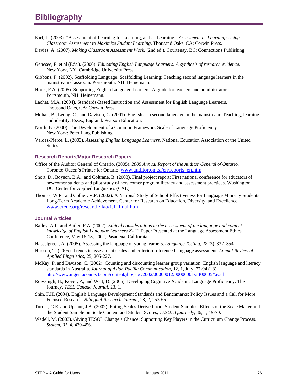# **Bibliography**

- Earl, L. (2003). "Assessment of Learning for Learning, and as Learning." *Assessment as Learning: Using Classroom Assessment to Maximize Student Learning*. Thousand Oaks, CA: Corwin Press.
- Davies. A. (2007). *Making Classroom Assessment Work.* (2nd ed.). Courtenay, BC: Connections Publishing.
- Genesee, F. et al (Eds.). (2006). *Educating English Language Learners: A synthesis of research evidence.* New York, NY: Cambridge University Press.
- Gibbons, P. (2002). Scaffolding Language, Scaffolding Learning: Teaching second language learners in the mainstream classroom. Portsmouth, NH: Heinemann.
- Houk, F.A. (2005). Supporting English Language Learners: A guide for teachers and administrators. Portsmouth, NH: Heinemann.
- Lachat, M.A. (2004). Standards-Based Instruction and Assessment for English Language Learners. Thousand Oaks, CA: Corwin Press.
- Mohan, B., Leung, C., and Davison, C. (2001). English as a second language in the mainstream: Teaching, learning and identity. Essex, England: Pearson Education.
- North, B. (2000). The Development of a Common Framework Scale of Language Proficiency. New York: Peter Lang Publishing.
- Valdez-Pierce, L. (2003). *Assessing English Language Learners.* National Education Association of the United States.

#### **Research Reports/Major Research Papers**

- Office of the Auditor General of Ontario. (2005). *2005 Annual Report of the Auditor General of Ontario.*  Toronto: Queen's Printer for Ontario. www.auditor.on.ca/en/reports\_en.htm
- Short, D., Boyson, B.A., and Coltrane, B. (2003). Final project report: First national conference for educators of newcomer students and pilot study of new comer program literacy and assessment practices. Washington, DC: Center for Applied Linguistics (CAL).
- Thomas, W.P., and Collier, V.P. (2002). A National Study of School Effectiveness for Language Minority Students' Long-Term Academic Achievement. Center for Research on Education, Diversity, and Excellence. www.crede.org/research/llaa/1.1\_final.html

#### **Journal Articles**

- Bailey, A.L. and Butler, F.A. (2002). *Ethical considerations in the assessment of the language and content knowledge of English Language Learners K-12.* Paper Presented at the Language Assessment Ethics Conference, May 16-18, 2002, Pasadena, California.
- Hasselgreen, A. (2005). Assessing the language of young learners. *Language Testing, 22* (3), 337–354.
- Hudson, T. (2005). Trends in assessment scales and criterion-referenced language assessment. *Annual Review of Applied Linguistics*, 25, 205-227.
- McKay, P. and Davison, C. (2002). Counting and discounting learner group variation: English language and literacy standards in Australia. *Journal of Asian Pacific Communication*, 12, 1, July, 77-94 (18). http://www.ingentaconnect.com/content/jbp/japc/2002/00000012/00000001/art00005#avail
- Roessingh, H., Kover, P., and Watt, D. (2005). Developing Cognitive Academic Language Proficiency: The Journey. *TESL Canada Journal,* 23, 1.
- Shin, F.H. (2004). English Language Development Standards and Benchmarks: Policy Issues and a Call for More Focused Research. *Bilingual Research Journal,* 28, 2, 253-66.
- Turner, C.E. and Upshur, J.A. (2002). Rating Scales Derived from Student Samples: Effects of the Scale Maker and the Student Sample on Scale Content and Student Scores, *TESOL Quarterly*, 36, 1, 49-70.
- Wedell, M. (2003). Giving TESOL Change a Chance: Supporting Key Players in the Curriculum Change Process. *System, 31*, 4, 439-456.